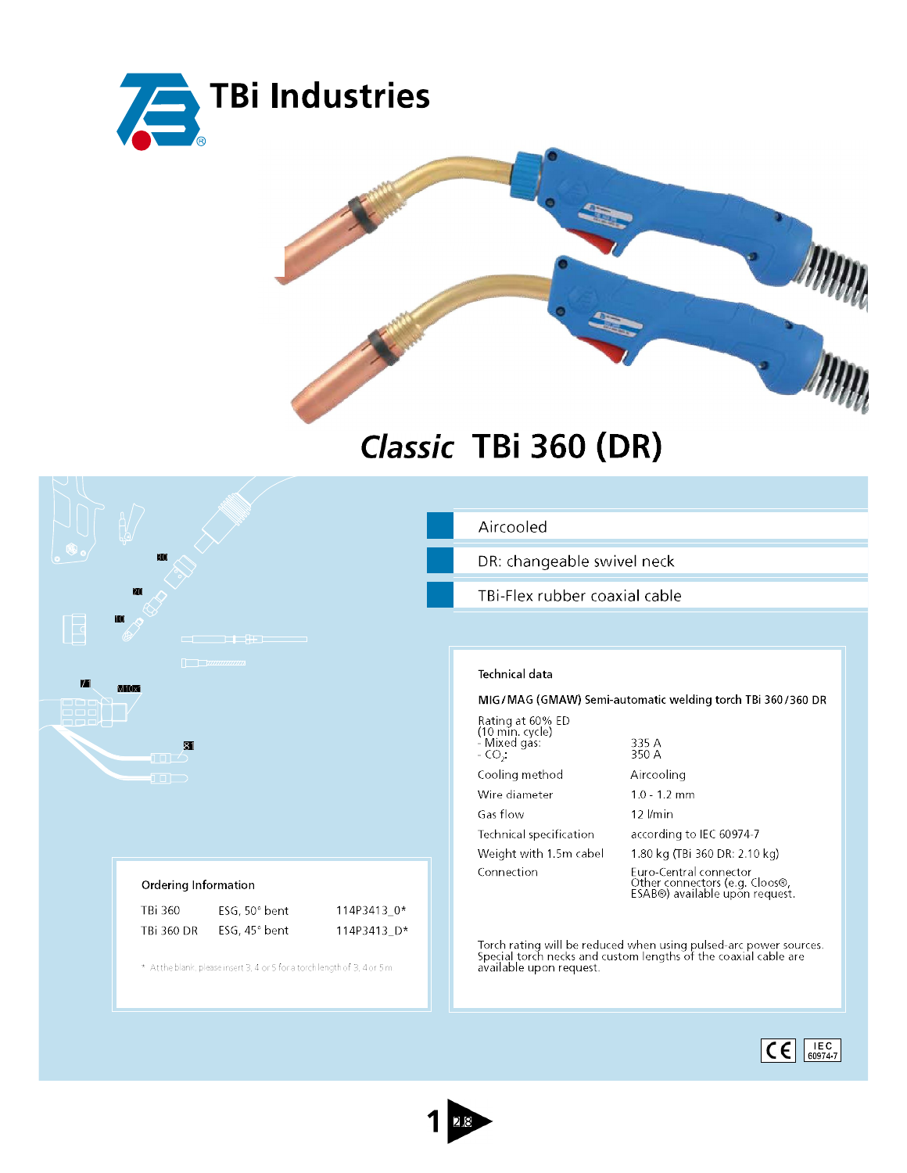



## Classic TBi 360 (DR)



## Ordering Information

| TB: 360    | ESG, $50^\circ$ bent | 114P3413 0* |
|------------|----------------------|-------------|
| TBi 360 DR | ESG, $45^\circ$ bent | 114P3413 D* |

\* At the blank, please insert 3, 4 or 5 for a torch length of 3, 4 or 5m.

## Aircooled

DR: changeable swivel neck

TBi-Flex rubber coaxial cable

## **Technical data**

MIG/MAG (GMAW) Semi-automatic welding torch TBi 360/360 DR

| Rating at 60% ED<br>(10 min. cycle)<br>- Mixed gas:<br>$-CO2$ | 335 A<br>350 A                                                                             |
|---------------------------------------------------------------|--------------------------------------------------------------------------------------------|
| Cooling method                                                | Aircooling                                                                                 |
| Wire diameter                                                 | $1.0 - 1.2$ mm                                                                             |
| Gas flow                                                      | $12$ <i>I/min</i>                                                                          |
| Technical specification                                       | according to IEC 60974-7                                                                   |
| Weight with 1.5m cabel                                        | 1.80 kg (TBi 360 DR: 2.10 kg)                                                              |
| Connection                                                    | Euro-Central connector<br>Other connectors (e.g. Cloos®,<br>ESAB®) available upon request. |

Torch rating will be reduced when using pulsed-arc power sources.<br>Special torch necks and custom lengths of the coaxial cable are<br>available upon request.